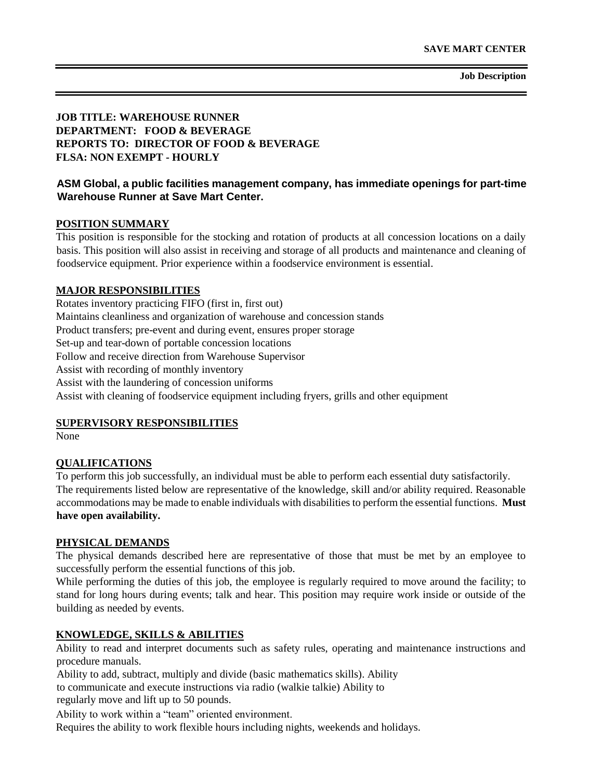## **JOB TITLE: WAREHOUSE RUNNER DEPARTMENT: FOOD & BEVERAGE REPORTS TO: DIRECTOR OF FOOD & BEVERAGE FLSA: NON EXEMPT - HOURLY**

## **ASM Global, a public facilities management company, has immediate openings for part-time Warehouse Runner at Save Mart Center.**

### **POSITION SUMMARY**

This position is responsible for the stocking and rotation of products at all concession locations on a daily basis. This position will also assist in receiving and storage of all products and maintenance and cleaning of foodservice equipment. Prior experience within a foodservice environment is essential.

### **MAJOR RESPONSIBILITIES**

Rotates inventory practicing FIFO (first in, first out) Maintains cleanliness and organization of warehouse and concession stands Product transfers; pre-event and during event, ensures proper storage Set-up and tear-down of portable concession locations Follow and receive direction from Warehouse Supervisor Assist with recording of monthly inventory Assist with the laundering of concession uniforms Assist with cleaning of foodservice equipment including fryers, grills and other equipment

#### **SUPERVISORY RESPONSIBILITIES**

None

### **QUALIFICATIONS**

To perform this job successfully, an individual must be able to perform each essential duty satisfactorily. The requirements listed below are representative of the knowledge, skill and/or ability required. Reasonable accommodations may be made to enable individuals with disabilities to perform the essential functions. **Must have open availability.** 

#### **PHYSICAL DEMANDS**

The physical demands described here are representative of those that must be met by an employee to successfully perform the essential functions of this job.

While performing the duties of this job, the employee is regularly required to move around the facility; to stand for long hours during events; talk and hear. This position may require work inside or outside of the building as needed by events.

### **KNOWLEDGE, SKILLS & ABILITIES**

Ability to read and interpret documents such as safety rules, operating and maintenance instructions and procedure manuals.

Ability to add, subtract, multiply and divide (basic mathematics skills). Ability

to communicate and execute instructions via radio (walkie talkie) Ability to

regularly move and lift up to 50 pounds.

Ability to work within a "team" oriented environment.

Requires the ability to work flexible hours including nights, weekends and holidays.